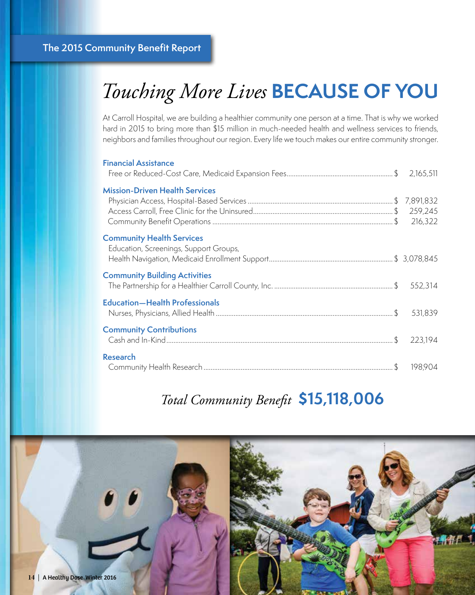# *Touching More Lives* **BECAUSE OF YOU**

At Carroll Hospital, we are building a healthier community one person at a time. That is why we worked hard in 2015 to bring more than \$15 million in much-needed health and wellness services to friends, neighbors and families throughout our region. Every life we touch makes our entire community stronger.

| <b>Financial Assistance</b>                                                |         |
|----------------------------------------------------------------------------|---------|
| <b>Mission-Driven Health Services</b>                                      | 259,245 |
| <b>Community Health Services</b><br>Education, Screenings, Support Groups, |         |
| <b>Community Building Activities</b>                                       |         |
| <b>Education-Health Professionals</b>                                      |         |
| <b>Community Contributions</b>                                             | 223,194 |
| <b>Research</b>                                                            | 198,904 |

### *Total Community Benefit* **\$15,118,006**